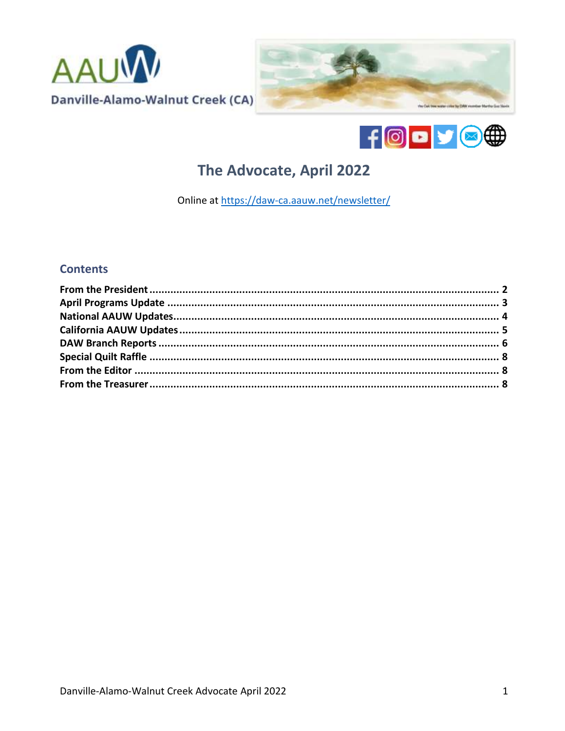





# The Advocate, April 2022

Online at https://daw-ca.aauw.net/newsletter/

# **Contents**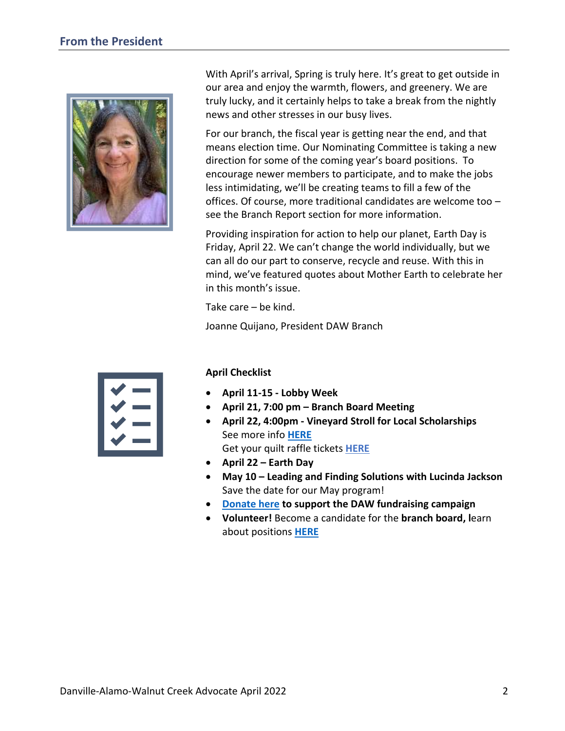<span id="page-1-0"></span>

With April's arrival, Spring is truly here. It's great to get outside in our area and enjoy the warmth, flowers, and greenery. We are truly lucky, and it certainly helps to take a break from the nightly news and other stresses in our busy lives.

For our branch, the fiscal year is getting near the end, and that means election time. Our Nominating Committee is taking a new direction for some of the coming year's board positions. To encourage newer members to participate, and to make the jobs less intimidating, we'll be creating teams to fill a few of the offices. Of course, more traditional candidates are welcome too – see the Branch Report section for more information.

Providing inspiration for action to help our planet, Earth Day is Friday, April 22. We can't change the world individually, but we can all do our part to conserve, recycle and reuse. With this in mind, we've featured quotes about Mother Earth to celebrate her in this month's issue.

Take care – be kind.

Joanne Quijano, President DAW Branch



#### **April Checklist**

- **April 11-15 - Lobby Week**
- **April 21, 7:00 pm – Branch Board Meeting**
- **April 22, 4:00pm - Vineyard Stroll for Local Scholarships**  See more info **[HERE](https://daw-ca.aauw.net/2022apr/)** Get your quilt raffle tickets **[HERE](http://daw-ca.aauw.net/quilt)**
- **April 22 – Earth Day**
- **May 10 – Leading and Finding Solutions with Lucinda Jackson** Save the date for our May program!
- **[Donate here](https://daw-ca.aauw.net/donate/) to support the DAW fundraising campaign**
- **Volunteer!** Become a candidate for the **branch board, l**earn about positions **[HERE](https://daw-ca.aauw.net/volunteers-needed/)**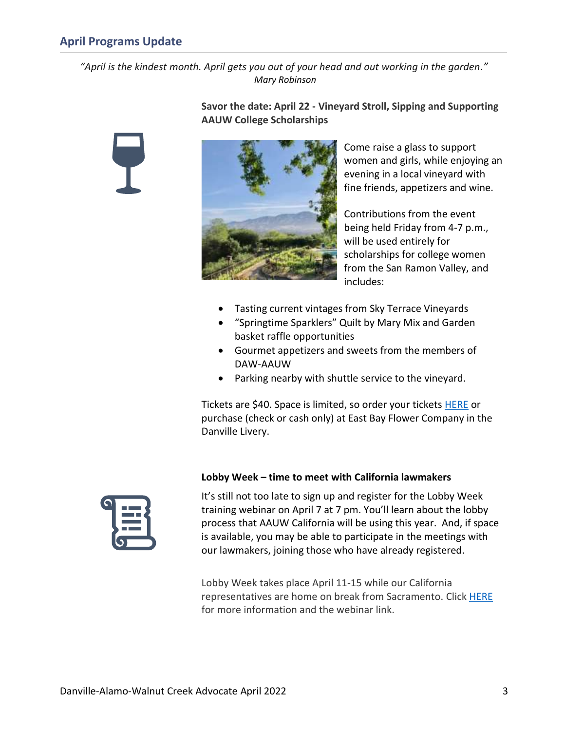<span id="page-2-0"></span>*"April is the kindest month. April gets you out of your head and out working in the garden." Mary Robinson*



**Savor the date: April 22 - Vineyard Stroll, Sipping and Supporting AAUW College Scholarships**



Come raise a glass to support women and girls, while enjoying an evening in a local vineyard with fine friends, appetizers and wine.

Contributions from the event being held Friday from 4-7 p.m., will be used entirely for scholarships for college women from the San Ramon Valley, and includes:

- Tasting current vintages from Sky Terrace Vineyards
- "Springtime Sparklers" Quilt by Mary Mix and Garden basket raffle opportunities
- Gourmet appetizers and sweets from the members of DAW-AAUW
- Parking nearby with shuttle service to the vineyard.

Tickets are \$40. Space is limited, so order your tickets **HERE** or purchase (check or cash only) at East Bay Flower Company in the Danville Livery.



#### **Lobby Week – time to meet with California lawmakers**

It's still not too late to sign up and register for the Lobby Week training webinar on April 7 at 7 pm. You'll learn about the lobby process that AAUW California will be using this year. And, if space is available, you may be able to participate in the meetings with our lawmakers, joining those who have already registered.

Lobby Week takes place April 11-15 while our California representatives are home on break from Sacramento. Click [HERE](https://www.aauw-ca.org/event/lets-get-ready-to-rumble-everything-you-need-to-know-to-prepare-for-lobby-day/?instance_id=1043) for more information and the webinar link.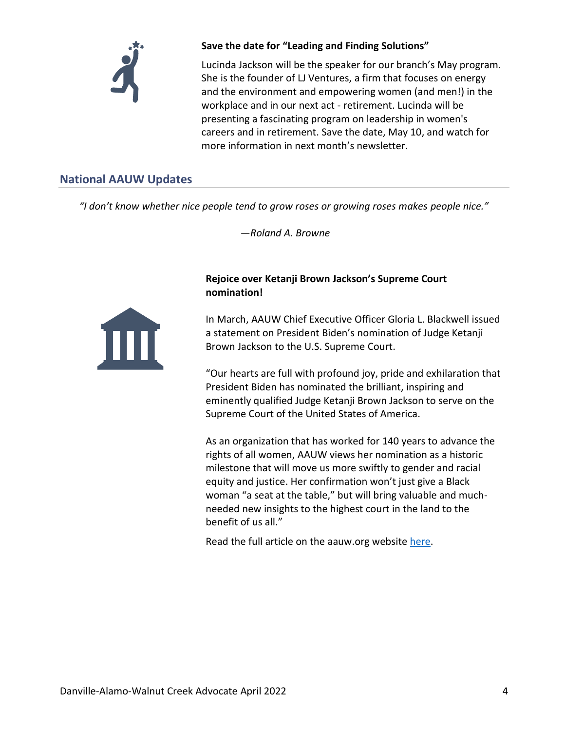

### **Save the date for "Leading and Finding Solutions"**

Lucinda Jackson will be the speaker for our branch's May program. She is the founder of LJ Ventures, a firm that focuses on energy and the environment and empowering women (and men!) in the workplace and in our next act - retirement. Lucinda will be presenting a fascinating program on leadership in women's careers and in retirement. Save the date, May 10, and watch for more information in next month's newsletter.

# <span id="page-3-0"></span>**National AAUW Updates**

*"I don't know whether nice people tend to grow roses or growing roses makes people nice."*

*—Roland A. Browne*



**Rejoice over Ketanji Brown Jackson's Supreme Court nomination!**

In March, AAUW Chief Executive Officer Gloria L. Blackwell issued a statement on President Biden's nomination of Judge Ketanji Brown Jackson to the U.S. Supreme Court.

"Our hearts are full with profound joy, pride and exhilaration that President Biden has nominated the brilliant, inspiring and eminently qualified Judge Ketanji Brown Jackson to serve on the Supreme Court of the United States of America.

As an organization that has worked for 140 years to advance the rights of all women, AAUW views her nomination as a historic milestone that will move us more swiftly to gender and racial equity and justice. Her confirmation won't just give a Black woman "a seat at the table," but will bring valuable and muchneeded new insights to the highest court in the land to the benefit of us all."

Read the full article on the aauw.org website [here.](https://www.aauw.org/resources/news/media/press-releases/statement-jackson-supreme-court-nomination/)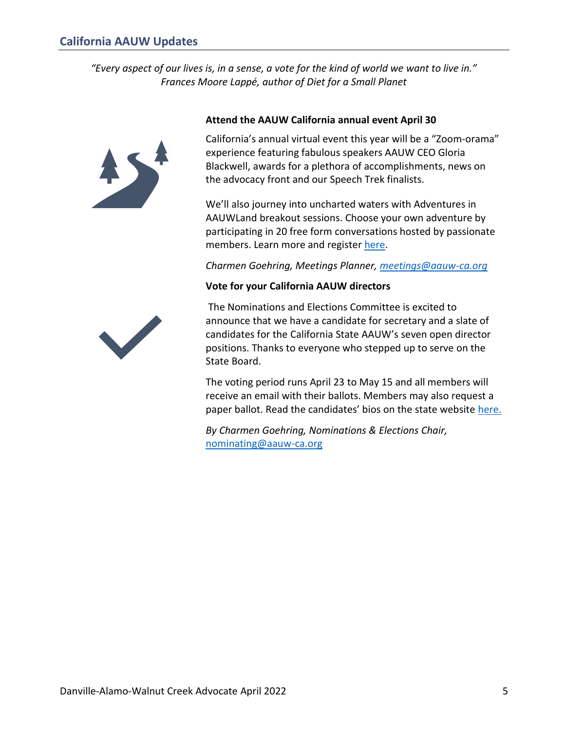<span id="page-4-0"></span>*"Every aspect of our lives is, in a sense, a vote for the kind of world we want to live in." Frances Moore Lappé, author of Diet for a Small Planet*



#### **Attend the AAUW California annual event April 30**

California's annual virtual event this year will be a "Zoom-orama" experience featuring fabulous speakers AAUW CEO Gloria Blackwell, awards for a plethora of accomplishments, news on the advocacy front and our Speech Trek finalists.

We'll also journey into uncharted waters with Adventures in AAUWLand breakout sessions. Choose your own adventure by participating in 20 free form conversations hosted by passionate members. Learn more and register [here.](https://www.aauw-ca.org/2022-annual-event-a-real-adventure/)

*Charmen Goehring, Meetings Planner, [meetings@aauw-ca.org](mailto:meetings@aauw-ca.org)*

#### **Vote for your California AAUW directors**



The Nominations and Elections Committee is excited to announce that we have a candidate for secretary and a slate of candidates for the California State AAUW's seven open director positions. Thanks to everyone who stepped up to serve on the State Board.

The voting period runs April 23 to May 15 and all members will receive an email with their ballots. Members may also request a paper ballot. Read the candidates' bios on the state website [here.](https://www.aauw-ca.org/2022-candidates/)

*By Charmen Goehring, Nominations & Elections Chair,*  [nominating@aauw-ca.org](mailto:nominating@aauw-ca.org)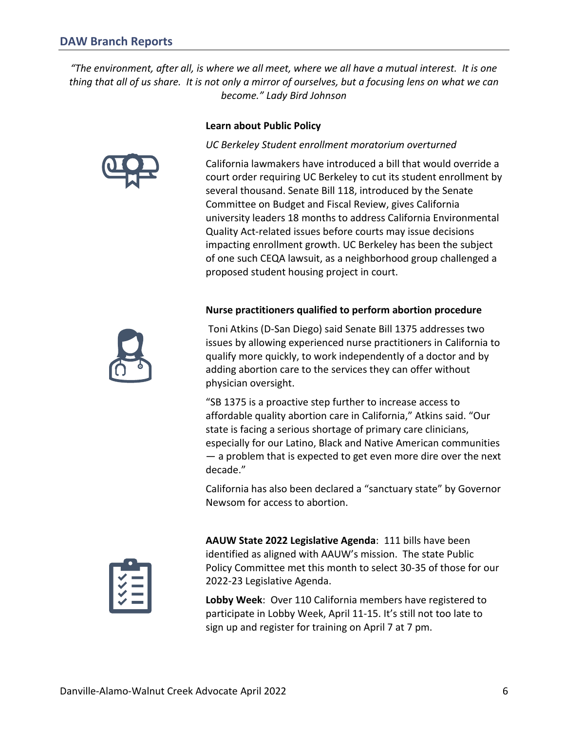<span id="page-5-0"></span>*"The environment, after all, is where we all meet, where we all have a mutual interest. It is one thing that all of us share. It is not only a mirror of ourselves, but a focusing lens on what we can become." Lady Bird Johnson*

**Learn about Public Policy** 





*UC Berkeley Student enrollment moratorium overturned*

California lawmakers have introduced a bill that would override a court order requiring UC Berkeley to cut its student enrollment by several thousand. Senate Bill 118, introduced by the Senate Committee on Budget and Fiscal Review, gives California university leaders 18 months to address California Environmental Quality Act-related issues before courts may issue decisions impacting enrollment growth. UC Berkeley has been the subject of one such CEQA lawsuit, as a neighborhood group challenged a proposed student housing project in court.

#### **Nurse practitioners qualified to perform abortion procedure**

Toni Atkins (D-San Diego) said Senate Bill 1375 addresses two issues by allowing experienced nurse practitioners in California to qualify more quickly, to work independently of a doctor and by adding abortion care to the services they can offer without physician oversight.

"SB 1375 is a proactive step further to increase access to affordable quality abortion care in California," Atkins said. "Our state is facing a serious shortage of primary care clinicians, especially for our Latino, Black and Native American communities — a problem that is expected to get even more dire over the next decade."

California has also been declared a "sanctuary state" by Governor Newsom for access to abortion.



**AAUW State 2022 Legislative Agenda**: 111 bills have been identified as aligned with AAUW's mission. The state Public Policy Committee met this month to select 30-35 of those for our 2022-23 Legislative Agenda.

**Lobby Week**: Over 110 California members have registered to participate in Lobby Week, April 11-15. It's still not too late to sign up and register for training on April 7 at 7 pm.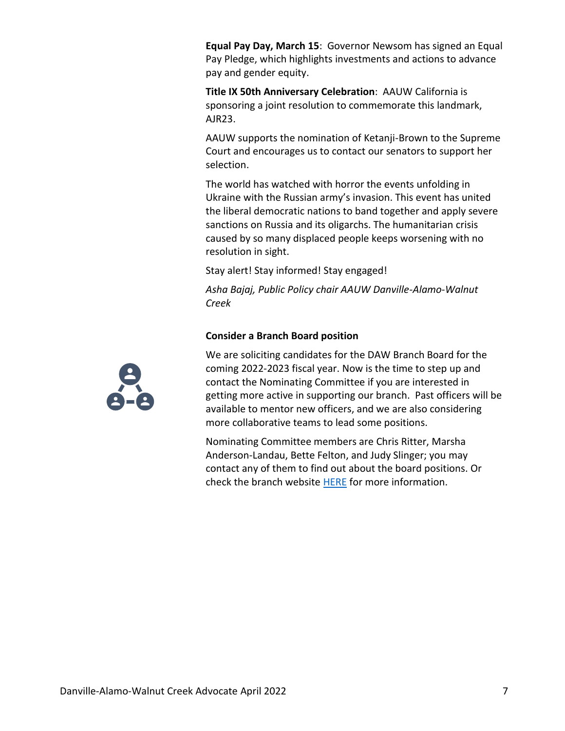**Equal Pay Day, March 15**: Governor Newsom has signed an Equal Pay Pledge, which highlights investments and actions to advance pay and gender equity.

**Title IX 50th Anniversary Celebration**: AAUW California is sponsoring a joint resolution to commemorate this landmark, AJR23.

AAUW supports the nomination of Ketanji-Brown to the Supreme Court and encourages us to contact our senators to support her selection.

The world has watched with horror the events unfolding in Ukraine with the Russian army's invasion. This event has united the liberal democratic nations to band together and apply severe sanctions on Russia and its oligarchs. The humanitarian crisis caused by so many displaced people keeps worsening with no resolution in sight.

Stay alert! Stay informed! Stay engaged!

*Asha Bajaj, Public Policy chair AAUW Danville-Alamo-Walnut Creek*

#### **Consider a Branch Board position**

We are soliciting candidates for the DAW Branch Board for the coming 2022-2023 fiscal year. Now is the time to step up and contact the Nominating Committee if you are interested in getting more active in supporting our branch. Past officers will be available to mentor new officers, and we are also considering more collaborative teams to lead some positions.

Nominating Committee members are Chris Ritter, Marsha Anderson-Landau, Bette Felton, and Judy Slinger; you may contact any of them to find out about the board positions. Or check the branch website [HERE](https://daw-ca.aauw.net/volunteers-needed/) for more information.

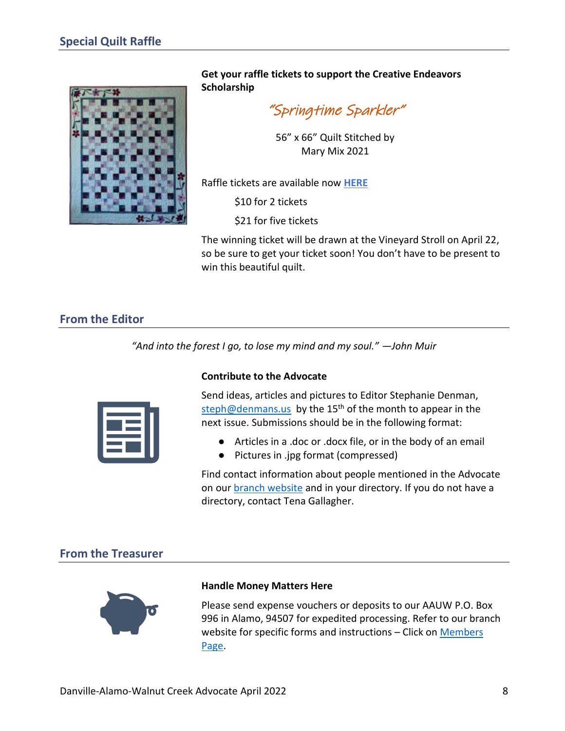<span id="page-7-0"></span>

**Get your raffle tickets to support the Creative Endeavors Scholarship**

"Springtime Sparkler"

56" x 66" Quilt Stitched by Mary Mix 2021

Raffle tickets are available now **[HERE](http://daw-ca.aauw.net/quilt)**

\$10 for 2 tickets

\$21 for five tickets

The winning ticket will be drawn at the Vineyard Stroll on April 22, so be sure to get your ticket soon! You don't have to be present to win this beautiful quilt.

# <span id="page-7-1"></span>**From the Editor**

*"And into the forest I go, to lose my mind and my soul." —John Muir*



#### **Contribute to the Advocate**

Send ideas, articles and pictures to Editor Stephanie Denman, [steph@denmans.us](mailto:steph@denmans.us) by the 15<sup>th</sup> of the month to appear in the next issue. Submissions should be in the following format:

- Articles in a .doc or .docx file, or in the body of an email
- Pictures in .jpg format (compressed)

Find contact information about people mentioned in the Advocate on our [branch website](https://daw-ca.aauw.net/) and in your directory. If you do not have a directory, contact Tena Gallagher.

# <span id="page-7-2"></span>**From the Treasurer**



#### **Handle Money Matters Here**

Please send expense vouchers or deposits to our AAUW P.O. Box 996 in Alamo, 94507 for expedited processing. Refer to our branch website for specific forms and instructions – Click on [Members](https://daw-ca.aauw.net/members/members-only/)  [Page.](https://daw-ca.aauw.net/members/members-only/)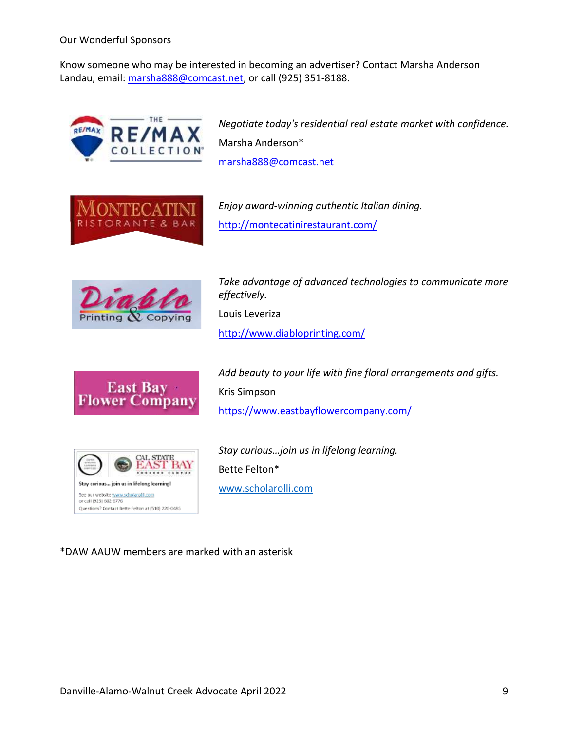Our Wonderful Sponsors

Know someone who may be interested in becoming an advertiser? Contact Marsha Anderson Landau, email[: marsha888@comcast.net,](mailto:marsha888@comcast.net) or call (925) 351-8188.



*Negotiate today's residential real estate market with confidence.* Marsha Anderson\* [marsha888@comcast.net](mailto:marsha888@comcast.net)



*Enjoy award-winning authentic Italian dining.* <http://montecatinirestaurant.com/>



*Take advantage of advanced technologies to communicate more effectively.* Louis Leveriza <http://www.diabloprinting.com/>



*Add beauty to your life with fine floral arrangements and gifts.* Kris Simpson <https://www.eastbayflowercompany.com/>



*Stay curious…join us in lifelong learning.* Bette Felton\* [www.scholarolli.com](https://www.scholarolli.com/)

\*DAW AAUW members are marked with an asterisk